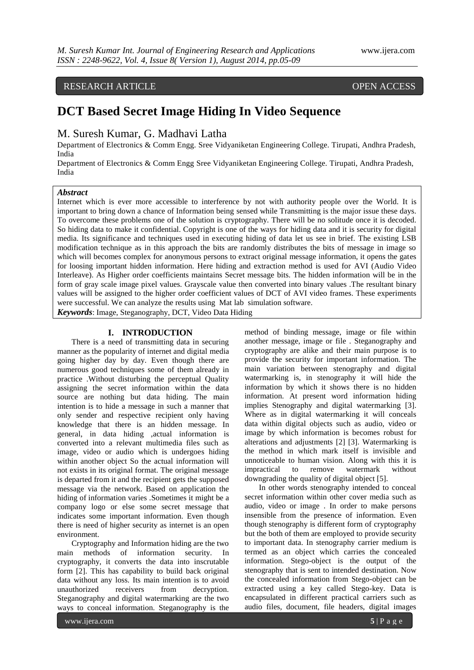# RESEARCH ARTICLE OPEN ACCESS

# **DCT Based Secret Image Hiding In Video Sequence**

## M. Suresh Kumar, G. Madhavi Latha

Department of Electronics & Comm Engg. Sree Vidyaniketan Engineering College. Tirupati, Andhra Pradesh, India

Department of Electronics & Comm Engg Sree Vidyaniketan Engineering College. Tirupati, Andhra Pradesh, India

#### *Abstract*

Internet which is ever more accessible to interference by not with authority people over the World. It is important to bring down a chance of Information being sensed while Transmitting is the major issue these days. To overcome these problems one of the solution is cryptography. There will be no solitude once it is decoded. So hiding data to make it confidential. Copyright is one of the ways for hiding data and it is security for digital media. Its significance and techniques used in executing hiding of data let us see in brief. The existing LSB modification technique as in this approach the bits are randomly distributes the bits of message in image so which will becomes complex for anonymous persons to extract original message information, it opens the gates for loosing important hidden information. Here hiding and extraction method is used for AVI (Audio Video Interleave). As Higher order coefficients maintains Secret message bits. The hidden information will be in the form of gray scale image pixel values. Grayscale value then converted into binary values .The resultant binary values will be assigned to the higher order coefficient values of DCT of AVI video frames. These experiments were successful. We can analyze the results using Mat lab simulation software.

*Keywords*: Image, Steganography, DCT, Video Data Hiding

#### **I. INTRODUCTION**

There is a need of transmitting data in securing manner as the popularity of internet and digital media going higher day by day. Even though there are numerous good techniques some of them already in practice .Without disturbing the perceptual Quality assigning the secret information within the data source are nothing but data hiding. The main intention is to hide a message in such a manner that only sender and respective recipient only having knowledge that there is an hidden message. In general, in data hiding ,actual information is converted into a relevant multimedia files such as image, video or audio which is undergoes hiding within another object So the actual information will not exists in its original format. The original message is departed from it and the recipient gets the supposed message via the network. Based on application the hiding of information varies .Sometimes it might be a company logo or else some secret message that indicates some important information. Even though there is need of higher security as internet is an open environment.

Cryptography and Information hiding are the two main methods of information security. In cryptography, it converts the data into inscrutable form [2]. This has capability to build back original data without any loss. Its main intention is to avoid unauthorized receivers from decryption. Steganography and digital watermarking are the two ways to conceal information. Steganography is the

method of binding message, image or file within another message, image or file . Steganography and cryptography are alike and their main purpose is to provide the security for important information. The main variation between stenography and digital watermarking is, in stenography it will hide the information by which it shows there is no hidden information. At present word information hiding implies Stenography and digital watermarking [3]. Where as in digital watermarking it will conceals data within digital objects such as audio, video or image by which information is becomes robust for alterations and adjustments [2] [3]. Watermarking is the method in which mark itself is invisible and unnoticeable to human vision. Along with this it is impractical to remove watermark without downgrading the quality of digital object [5].

In other words stenography intended to conceal secret information within other cover media such as audio, video or image . In order to make persons insensible from the presence of information. Even though stenography is different form of cryptography but the both of them are employed to provide security to important data. In stenography carrier medium is termed as an object which carries the concealed information. Stego-object is the output of the stenography that is sent to intended destination. Now the concealed information from Stego-object can be extracted using a key called Stego-key. Data is encapsulated in different practical carriers such as audio files, document, file headers, digital images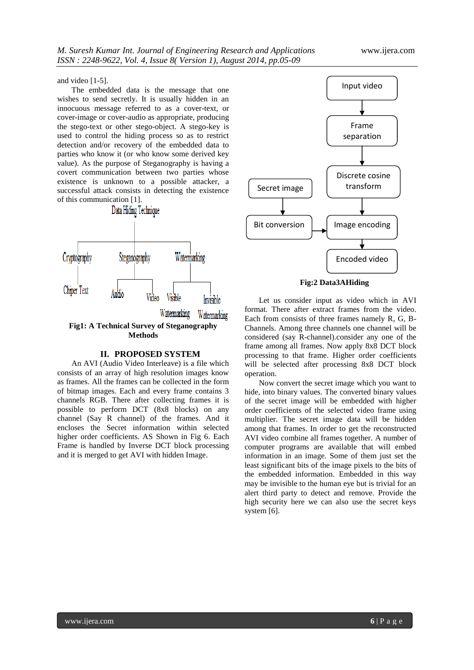and video [1-5].

The embedded data is the message that one wishes to send secretly. It is usually hidden in an innocuous message referred to as a cover-text, or cover-image or cover-audio as appropriate, producing the stego-text or other stego-object. A stego-key is used to control the hiding process so as to restrict detection and/or recovery of the embedded data to parties who know it (or who know some derived key value). As the purpose of Steganography is having a covert communication between two parties whose existence is unknown to a possible attacker, a successful attack consists in detecting the existence of this communication [1].



**Fig1: A Technical Survey of Steganography Methods**

### **II. PROPOSED SYSTEM**

An AVI (Audio Video Interleave) is a file which consists of an array of high resolution images know as frames. All the frames can be collected in the form of bitmap images. Each and every frame contains 3 channels RGB. There after collecting frames it is possible to perform DCT (8x8 blocks) on any channel (Say R channel) of the frames. And it encloses the Secret information within selected higher order coefficients. AS Shown in Fig 6. Each Frame is handled by Inverse DCT block processing and it is merged to get AVI with hidden Image.



**Fig:2 Data3AHiding**

Let us consider input as video which in AVI format. There after extract frames from the video. Each from consists of three frames namely R, G, B-Channels. Among three channels one channel will be considered (say R-channel).consider any one of the frame among all frames. Now apply 8x8 DCT block processing to that frame. Higher order coefficients will be selected after processing 8x8 DCT block operation.

Now convert the secret image which you want to hide, into binary values. The converted binary values of the secret image will be embedded with higher order coefficients of the selected video frame using multiplier. The secret image data will be hidden among that frames. In order to get the reconstructed AVI video combine all frames together. A number of computer programs are available that will embed information in an image. Some of them just set the least significant bits of the image pixels to the bits of the embedded information. Embedded in this way may be invisible to the human eye but is trivial for an alert third party to detect and remove. Provide the high security here we can also use the secret keys system [6].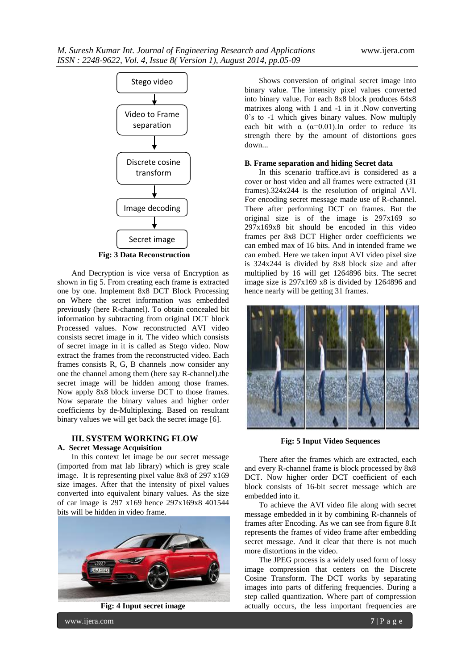

**Fig: 3 Data Reconstruction**

And Decryption is vice versa of Encryption as shown in fig 5. From creating each frame is extracted one by one. Implement 8x8 DCT Block Processing on Where the secret information was embedded previously (here R-channel). To obtain concealed bit information by subtracting from original DCT block Processed values. Now reconstructed AVI video consists secret image in it. The video which consists of secret image in it is called as Stego video. Now extract the frames from the reconstructed video. Each frames consists R, G, B channels .now consider any one the channel among them (here say R-channel).the secret image will be hidden among those frames. Now apply 8x8 block inverse DCT to those frames. Now separate the binary values and higher order coefficients by de-Multiplexing. Based on resultant binary values we will get back the secret image [6].

#### **III. SYSTEM WORKING FLOW**

### **A. Secret Message Acquisition**

In this context let image be our secret message (imported from mat lab library) which is grey scale image. It is representing pixel value 8x8 of 297 x169 size images. After that the intensity of pixel values converted into equivalent binary values. As the size of car image is 297 x169 hence 297x169x8 401544 bits will be hidden in video frame.



**Fig: 4 Input secret image**

Shows conversion of original secret image into binary value. The intensity pixel values converted into binary value. For each 8x8 block produces 64x8 matrixes along with 1 and -1 in it .Now converting 0's to -1 which gives binary values. Now multiply each bit with  $\alpha$  ( $\alpha$ =0.01). In order to reduce its strength there by the amount of distortions goes down...

#### **B. Frame separation and hiding Secret data**

In this scenario traffice.avi is considered as a cover or host video and all frames were extracted (31 frames).324x244 is the resolution of original AVI. For encoding secret message made use of R-channel. There after performing DCT on frames. But the original size is of the image is 297x169 so 297x169x8 bit should be encoded in this video frames per 8x8 DCT Higher order coefficients we can embed max of 16 bits. And in intended frame we can embed. Here we taken input AVI video pixel size is 324x244 is divided by 8x8 block size and after multiplied by 16 will get 1264896 bits. The secret image size is 297x169 x8 is divided by 1264896 and hence nearly will be getting 31 frames.



**Fig: 5 Input Video Sequences**

There after the frames which are extracted, each and every R-channel frame is block processed by 8x8 DCT. Now higher order DCT coefficient of each block consists of 16-bit secret message which are embedded into it.

To achieve the AVI video file along with secret message embedded in it by combining R-channels of frames after Encoding. As we can see from figure 8.It represents the frames of video frame after embedding secret message. And it clear that there is not much more distortions in the video.

The JPEG process is a widely used form of lossy image compression that centers on the Discrete Cosine Transform. The DCT works by separating images into parts of differing frequencies. During a step called quantization. Where part of compression actually occurs, the less important frequencies are

www.ijera.com **7** | P a g e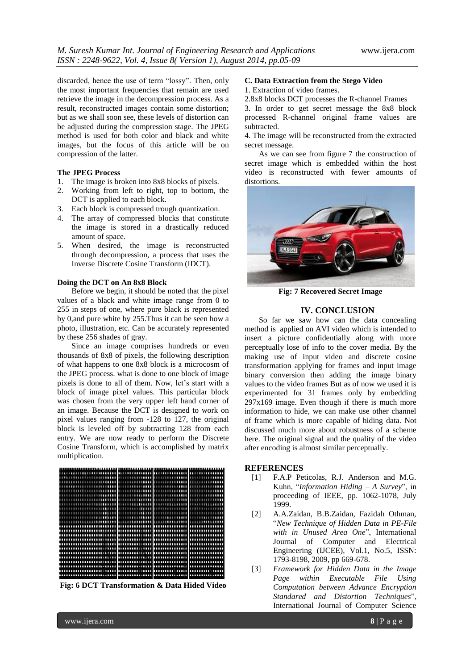discarded, hence the use of term "lossy". Then, only the most important frequencies that remain are used retrieve the image in the decompression process. As a result, reconstructed images contain some distortion; but as we shall soon see, these levels of distortion can be adjusted during the compression stage. The JPEG method is used for both color and black and white images, but the focus of this article will be on compression of the latter.

#### **The JPEG Process**

- 1. The image is broken into 8x8 blocks of pixels.
- 2. Working from left to right, top to bottom, the DCT is applied to each block.
- 3. Each block is compressed trough quantization.
- 4. The array of compressed blocks that constitute the image is stored in a drastically reduced amount of space.
- 5. When desired, the image is reconstructed through decompression, a process that uses the Inverse Discrete Cosine Transform (IDCT).

#### **Doing the DCT on An 8x8 Block**

Before we begin, it should be noted that the pixel values of a black and white image range from 0 to 255 in steps of one, where pure black is represented by 0,and pure white by 255.Thus it can be seen how a photo, illustration, etc. Can be accurately represented by these 256 shades of gray.

Since an image comprises hundreds or even thousands of 8x8 of pixels, the following description of what happens to one 8x8 block is a microcosm of the JPEG process. what is done to one block of image pixels is done to all of them. Now, let's start with a block of image pixel values. This particular block was chosen from the very upper left hand corner of an image. Because the DCT is designed to work on pixel values ranging from -128 to 127, the original block is leveled off by subtracting 128 from each entry. We are now ready to perform the Discrete Cosine Transform, which is accomplished by matrix multiplication.



**Fig: 6 DCT Transformation & Data Hided Video**

#### **C. Data Extraction from the Stego Video**

1. Extraction of video frames.

2.8x8 blocks DCT processes the R-channel Frames

3. In order to get secret message the 8x8 block processed R-channel original frame values are subtracted.

4. The image will be reconstructed from the extracted secret message.

As we can see from figure 7 the construction of secret image which is embedded within the host video is reconstructed with fewer amounts of distortions.



**Fig: 7 Recovered Secret Image**

#### **IV. CONCLUSION**

So far we saw how can the data concealing method is applied on AVI video which is intended to insert a picture confidentially along with more perceptually lose of info to the cover media. By the making use of input video and discrete cosine transformation applying for frames and input image binary conversion then adding the image binary values to the video frames But as of now we used it is experimented for 31 frames only by embedding  $297x169$  image. Even though if there is much more information to hide, we can make use other channel of frame which is more capable of hiding data. Not discussed much more about robustness of a scheme here. The original signal and the quality of the video after encoding is almost similar perceptually.

#### **REFERENCES**

- [1] F.A.P Peticolas, R.J. Anderson and M.G. Kuhn, "*Information Hiding – A Survey*", in proceeding of IEEE, pp. 1062-1078, July 1999.
- [2] A.A.Zaidan, B.B.Zaidan, Fazidah Othman, "*New Technique of Hidden Data in PE-File with in Unused Area One*", International Journal of Computer and Electrical Engineering (IJCEE), Vol.1, No.5, ISSN: 1793-8198, 2009, pp 669-678.
- [3] *Framework for Hidden Data in the Image Page within Executable File Using Computation between Advance Encryption Standared and Distortion Techniques*", International Journal of Computer Science